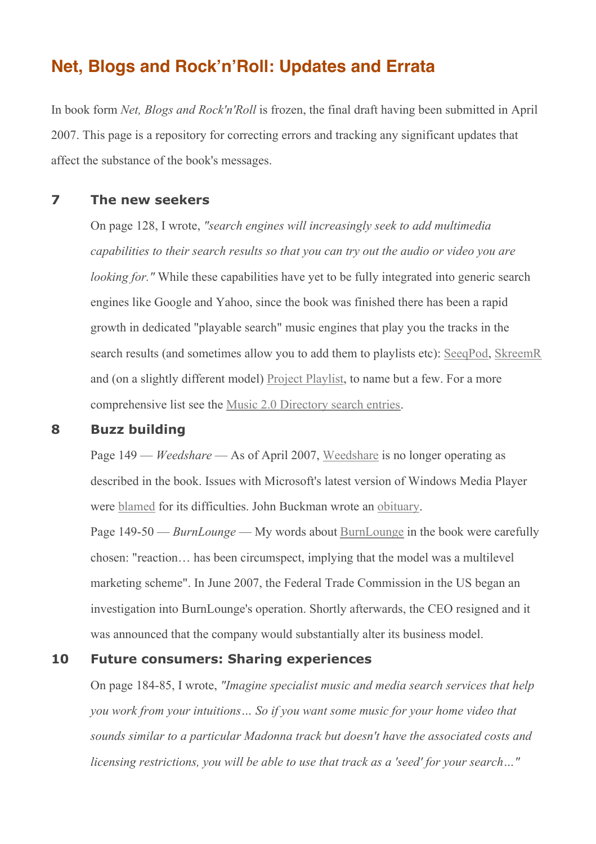# **Net, Blogs and Rock'n'Roll: Updates and Errata**

In book form *Net, Blogs and Rock'n'Roll* is frozen, the final draft having been submitted in April 2007. This page is a repository for correcting errors and tracking any significant updates that affect the substance of the book's messages.

### **7 The new seekers**

On page 128, I wrote, *"search engines will increasingly seek to add multimedia capabilities to their search results so that you can try out the audio or video you are looking for.*" While these capabilities have yet to be fully integrated into generic search engines like Google and Yahoo, since the book was finished there has been a rapid growth in dedicated "playable search" music engines that play you the tracks in the search results (and sometimes allow you to add them to playlists etc): SeeqPod, SkreemR and (on a slightly different model) Project Playlist, to name but a few. For a more comprehensive list see the Music 2.0 Directory search entries.

#### **8 Buzz building**

Page 149 — *Weedshare* — As of April 2007, Weedshare is no longer operating as described in the book. Issues with Microsoft's latest version of Windows Media Player were blamed for its difficulties. John Buckman wrote an obituary.

Page 149-50 — *BurnLounge* — My words about BurnLounge in the book were carefully chosen: "reaction… has been circumspect, implying that the model was a multilevel marketing scheme". In June 2007, the Federal Trade Commission in the US began an investigation into BurnLounge's operation. Shortly afterwards, the CEO resigned and it was announced that the company would substantially alter its business model.

#### **10 Future consumers: Sharing experiences**

On page 184-85, I wrote, *"Imagine specialist music and media search services that help you work from your intuitions… So if you want some music for your home video that sounds similar to a particular Madonna track but doesn't have the associated costs and licensing restrictions, you will be able to use that track as a 'seed' for your search…"*